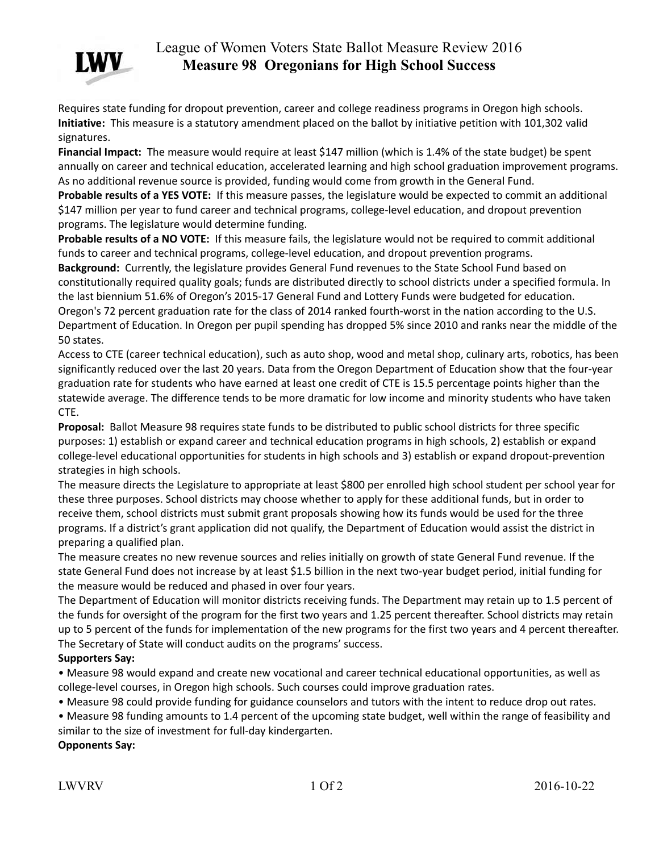

## League of Women Voters State Ballot Measure Review 2016 **Measure 98 Oregonians for High School Success**

Requires state funding for dropout prevention, career and college readiness programs in Oregon high schools. **Initiative:** This measure is a statutory amendment placed on the ballot by initiative petition with 101,302 valid signatures.

**Financial Impact:** The measure would require at least \$147 million (which is 1.4% of the state budget) be spent annually on career and technical education, accelerated learning and high school graduation improvement programs. As no additional revenue source is provided, funding would come from growth in the General Fund.

**Probable results of a YES VOTE:** If this measure passes, the legislature would be expected to commit an additional \$147 million per year to fund career and technical programs, college-level education, and dropout prevention programs. The legislature would determine funding.

**Probable results of a NO VOTE:** If this measure fails, the legislature would not be required to commit additional funds to career and technical programs, college-level education, and dropout prevention programs.

**Background:** Currently, the legislature provides General Fund revenues to the State School Fund based on constitutionally required quality goals; funds are distributed directly to school districts under a specified formula. In the last biennium 51.6% of Oregon's 2015-17 General Fund and Lottery Funds were budgeted for education. Oregon's 72 percent graduation rate for the class of 2014 ranked fourth-worst in the nation according to the U.S. Department of Education. In Oregon per pupil spending has dropped 5% since 2010 and ranks near the middle of the 50 states.

Access to CTE (career technical education), such as auto shop, wood and metal shop, culinary arts, robotics, has been significantly reduced over the last 20 years. Data from the Oregon Department of Education show that the four-year graduation rate for students who have earned at least one credit of CTE is 15.5 percentage points higher than the statewide average. The difference tends to be more dramatic for low income and minority students who have taken CTE.

**Proposal:** Ballot Measure 98 requires state funds to be distributed to public school districts for three specific purposes: 1) establish or expand career and technical education programs in high schools, 2) establish or expand college-level educational opportunities for students in high schools and 3) establish or expand dropout-prevention strategies in high schools.

The measure directs the Legislature to appropriate at least \$800 per enrolled high school student per school year for these three purposes. School districts may choose whether to apply for these additional funds, but in order to receive them, school districts must submit grant proposals showing how its funds would be used for the three programs. If a district's grant application did not qualify, the Department of Education would assist the district in preparing a qualified plan.

The measure creates no new revenue sources and relies initially on growth of state General Fund revenue. If the state General Fund does not increase by at least \$1.5 billion in the next two-year budget period, initial funding for the measure would be reduced and phased in over four years.

The Department of Education will monitor districts receiving funds. The Department may retain up to 1.5 percent of the funds for oversight of the program for the first two years and 1.25 percent thereafter. School districts may retain up to 5 percent of the funds for implementation of the new programs for the first two years and 4 percent thereafter. The Secretary of State will conduct audits on the programs' success.

## **Supporters Say:**

• Measure 98 would expand and create new vocational and career technical educational opportunities, as well as college-level courses, in Oregon high schools. Such courses could improve graduation rates.

• Measure 98 could provide funding for guidance counselors and tutors with the intent to reduce drop out rates.

• Measure 98 funding amounts to 1.4 percent of the upcoming state budget, well within the range of feasibility and similar to the size of investment for full-day kindergarten.

**Opponents Say:**